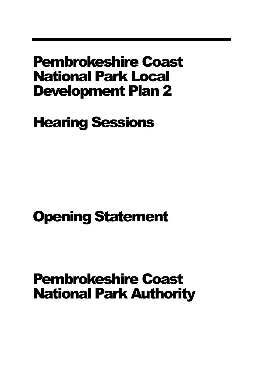### Pembrokeshire Coast National Park Local Development Plan 2

Hearing Sessions

# Opening Statement

# Pembrokeshire Coast National Park Authority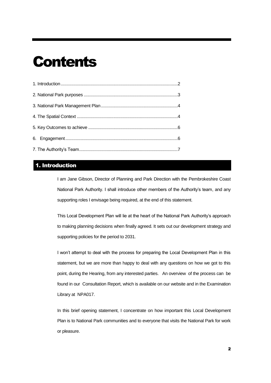## **Contents**

### <span id="page-1-0"></span>1. Introduction

I am Jane Gibson, Director of Planning and Park Direction with the Pembrokeshire Coast National Park Authority. I shall introduce other members of the Authority's team, and any supporting roles I envisage being required, at the end of this statement.

This Local Development Plan will lie at the heart of the National Park Authority's approach to making planning decisions when finally agreed. It sets out our development strategy and supporting policies for the period to 2031.

I won't attempt to deal with the process for preparing the Local Development Plan in this statement, but we are more than happy to deal with any questions on how we got to this point, during the Hearing, from any interested parties. An overview of the process can be found in our Consultation Report, which is available on our website and in the Examination Library at NPA017.

In this brief opening statement, I concentrate on how important this Local Development Plan is to National Park communities and to everyone that visits the National Park for work or pleasure.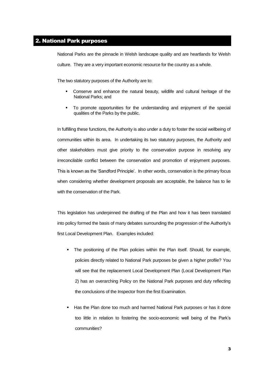#### <span id="page-2-0"></span>2. National Park purposes

National Parks are the pinnacle in Welsh landscape quality and are heartlands for Welsh culture. They are a very important economic resource for the country as a whole.

The two statutory purposes of the Authority are to:

- Conserve and enhance the natural beauty, wildlife and cultural heritage of the National Parks; and
- To promote opportunities for the understanding and enjoyment of the special qualities of the Parks by the public.

In fulfilling these functions, the Authority is also under a duty to foster the social wellbeing of communities within its area. In undertaking its two statutory purposes, the Authority and other stakeholders must give priority to the conservation purpose in resolving any irreconcilable conflict between the conservation and promotion of enjoyment purposes. This is known as the 'Sandford Principle'. In other words, conservation is the primary focus when considering whether development proposals are acceptable, the balance has to lie with the conservation of the Park.

This legislation has underpinned the drafting of the Plan and how it has been translated into policy formed the basis of many debates surrounding the progression of the Authority's first Local Development Plan. Examples included:

- The positioning of the Plan policies within the Plan itself. Should, for example, policies directly related to National Park purposes be given a higher profile? You will see that the replacement Local Development Plan (Local Development Plan 2) has an overarching Policy on the National Park purposes and duty reflecting the conclusions of the Inspector from the first Examination.
- **Has the Plan done too much and harmed National Park purposes or has it done** too little in relation to fostering the socio-economic well being of the Park's communities?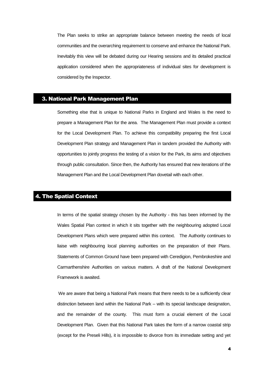The Plan seeks to strike an appropriate balance between meeting the needs of local communities and the overarching requirement to conserve and enhance the National Park. Inevitably this view will be debated during our Hearing sessions and its detailed practical application considered when the appropriateness of individual sites for development is considered by the Inspector.

#### <span id="page-3-0"></span>3. National Park Management Plan

Something else that is unique to National Parks in England and Wales is the need to prepare a Management Plan for the area. The Management Plan must provide a context for the Local Development Plan. To achieve this compatibility preparing the first Local Development Plan strategy and Management Plan in tandem provided the Authority with opportunities to jointly progress the testing of a vision for the Park, its aims and objectives through public consultation. Since then, the Authority has ensured that new iterations of the Management Plan and the Local Development Plan dovetail with each other.

#### <span id="page-3-1"></span>4. The Spatial Context

In terms of the spatial strategy chosen by the Authority - this has been informed by the Wales Spatial Plan context in which it sits together with the neighbouring adopted Local Development Plans which were prepared within this context. The Authority continues to liaise with neighbouring local planning authorities on the preparation of their Plans. Statements of Common Ground have been prepared with Ceredigion, Pembrokeshire and Carmarthenshire Authorities on various matters. A draft of the National Development Framework is awaited.

We are aware that being a National Park means that there needs to be a sufficiently clear distinction between land within the National Park – with its special landscape designation, and the remainder of the county. This must form a crucial element of the Local Development Plan. Given that this National Park takes the form of a narrow coastal strip (except for the Preseli Hills), it is impossible to divorce from its immediate setting and yet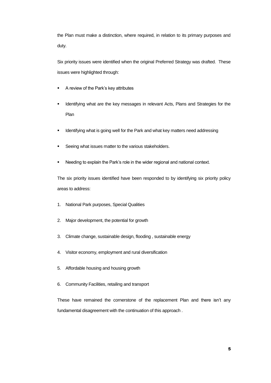the Plan must make a distinction, where required, in relation to its primary purposes and duty.

Six priority issues were identified when the original Preferred Strategy was drafted. These issues were highlighted through:

- A review of the Park's key attributes
- Identifying what are the key messages in relevant Acts, Plans and Strategies for the Plan
- Identifying what is going well for the Park and what key matters need addressing
- Seeing what issues matter to the various stakeholders.
- Needing to explain the Park's role in the wider regional and national context.

The six priority issues identified have been responded to by identifying six priority policy areas to address:

- 1. National Park purposes, Special Qualities
- 2. Major development, the potential for growth
- 3. Climate change, sustainable design, flooding , sustainable energy
- 4. Visitor economy, employment and rural diversification
- 5. Affordable housing and housing growth
- 6. Community Facilities, retailing and transport

These have remained the cornerstone of the replacement Plan and there isn't any fundamental disagreement with the continuation of this approach .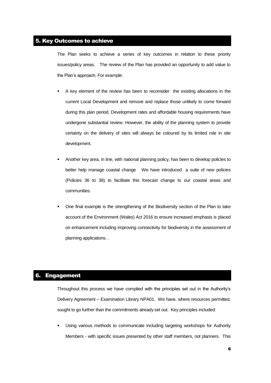#### <span id="page-5-0"></span>5. Key Outcomes to achieve

The Plan seeks to achieve a series of key outcomes in relation to these priority issues/policy areas. The review of the Plan has provided an opportunity to add value to the Plan's approach. For example:

- A key element of the review has been to reconsider the existing allocations in the current Local Development and remove and replace those unlikely to come forward during this plan period. Development rates and affordable housing requirements have undergone substantial review. However, the ability of the planning system to provide certainty on the delivery of sites will always be coloured by its limited role in site development.
- Another key area, in line, with national planning policy, has been to develop policies to better help manage coastal change We have introduced a suite of new policies (Policies 36 to 38) to facilitate this forecast change to our coastal areas and communities.
- One final example is the strengthening of the Biodiversity section of the Plan to take account of the Environment (Wales) Act 2016 to ensure increased emphasis is placed on enhancement including improving connectivity for biodiversity in the assessment of planning applications. .

#### <span id="page-5-1"></span>6. Engagement

Throughout this process we have complied with the principles set out in the Authority's Delivery Agreement – Examination Library NPA01. We have, where resources permitted, sought to go further than the commitments already set out. Key principles included:

 Using various methods to communicate including targeting workshops for Authority Members - with specific issues presented by other staff members, not planners. This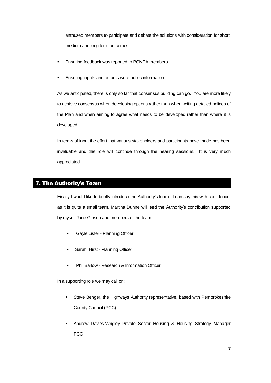enthused members to participate and debate the solutions with consideration for short, medium and long term outcomes.

- Ensuring feedback was reported to PCNPA members.
- **Ensuring inputs and outputs were public information.**

As we anticipated, there is only so far that consensus building can go. You are more likely to achieve consensus when developing options rather than when writing detailed polices of the Plan and when aiming to agree what needs to be developed rather than where it is developed.

In terms of input the effort that various stakeholders and participants have made has been invaluable and this role will continue through the hearing sessions. It is very much appreciated.

### <span id="page-6-0"></span>7. The Authority's Team

Finally I would like to briefly introduce the Authority's team. I can say this with confidence, as it is quite a small team. Martina Dunne will lead the Authority's contribution supported by myself Jane Gibson and members of the team:

- **Gayle Lister Planning Officer**
- **Sarah Hirst Planning Officer**
- **Phil Barlow Research & Information Officer**

In a supporting role we may call on:

- Steve Benger, the Highways Authority representative, based with Pembrokeshire County Council (PCC)
- Andrew Davies-Wrigley Private Sector Housing & Housing Strategy Manager PCC